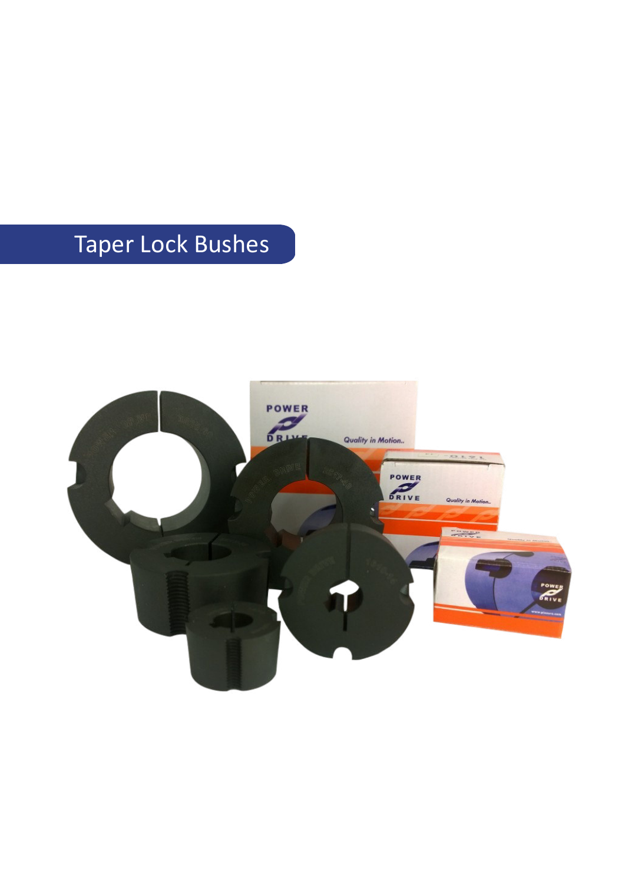# Taper Lock Bushes

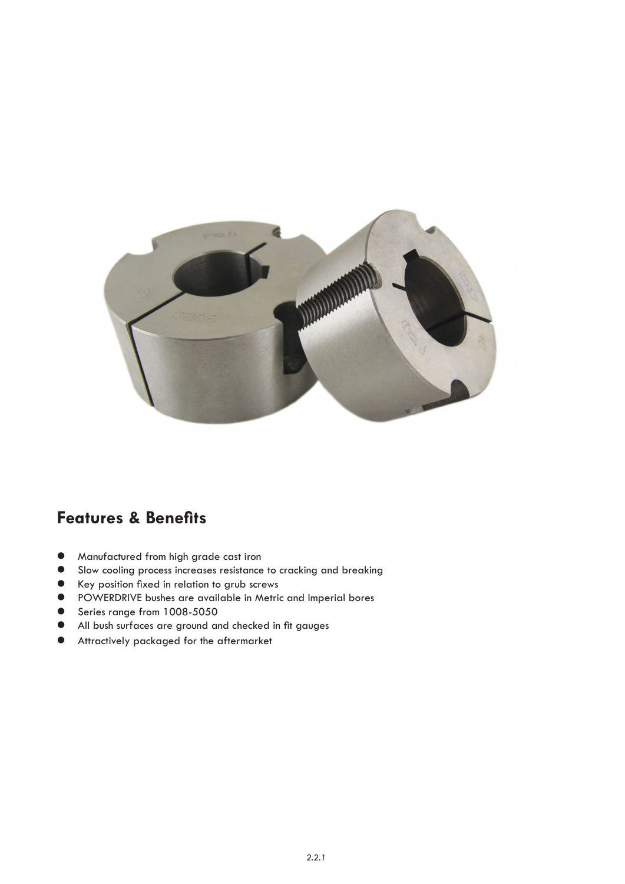

# **Features & Benefits**

- $\bullet$  Manufactured from high grade cast iron
- **•** Slow cooling process increases resistance to cracking and breaking
- **e** Key position fixed in relation to grub screws
- **•** POWERDRIVE bushes are available in Metric and Imperial bores
- **Series range from 1008-5050**
- All bush surfaces are ground and checked in fit gauges
- $\bullet$  Attractively packaged for the aftermarket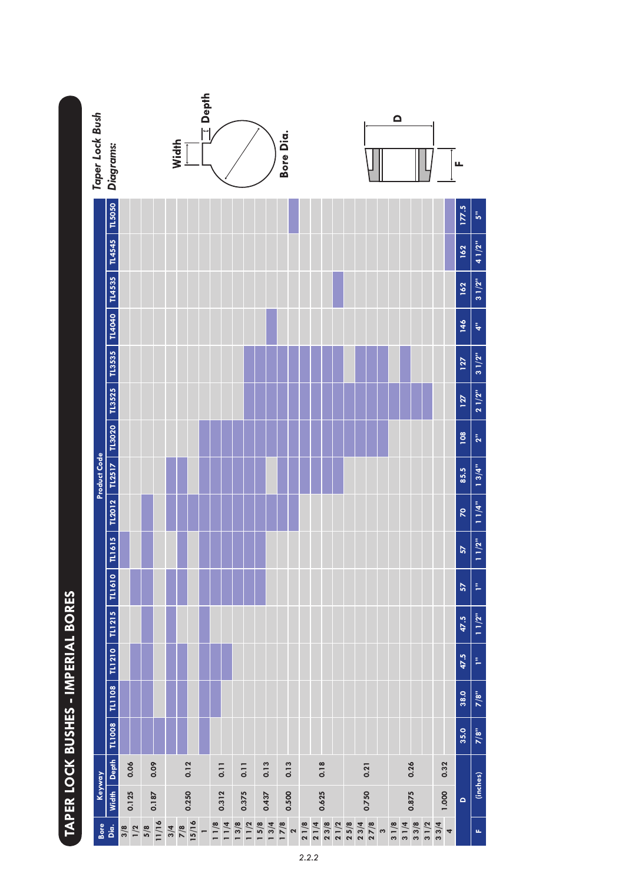|                                                                                                                | Taper Lock Bush | <b>Diagrams:</b>     |               |              | Width |                        | $\equiv$ Depth |                     |                     |       | Bore Dia.                                                        |      |       |      |              |                     |        | $\Omega$ |       |                 |      |                                  | щ                |                |
|----------------------------------------------------------------------------------------------------------------|-----------------|----------------------|---------------|--------------|-------|------------------------|----------------|---------------------|---------------------|-------|------------------------------------------------------------------|------|-------|------|--------------|---------------------|--------|----------|-------|-----------------|------|----------------------------------|------------------|----------------|
|                                                                                                                |                 | TL5050               |               |              |       |                        |                |                     |                     |       |                                                                  |      |       |      |              |                     |        |          |       |                 |      |                                  | 177.5            | Ŝ,             |
|                                                                                                                |                 | <b>TL4545</b>        |               |              |       |                        |                |                     |                     |       |                                                                  |      |       |      |              |                     |        |          |       |                 |      |                                  | 162              | 41/2"          |
|                                                                                                                |                 | TL4535               |               |              |       |                        |                |                     |                     |       |                                                                  |      |       |      |              |                     |        |          |       |                 |      |                                  | 162              | 31/2"          |
|                                                                                                                |                 | TL4040               |               |              |       |                        |                |                     |                     |       |                                                                  |      |       |      |              |                     |        |          |       |                 |      |                                  | 146              | 4"             |
|                                                                                                                | Product Code    | TL3535               |               |              |       |                        |                |                     |                     |       |                                                                  |      |       |      |              |                     |        |          |       |                 |      |                                  | 127              | 31/2"          |
|                                                                                                                |                 | TL3525               |               |              |       |                        |                |                     |                     |       |                                                                  |      |       |      |              |                     |        |          |       |                 |      |                                  | 127              | 21/2"          |
|                                                                                                                |                 |                      |               |              |       |                        |                |                     |                     |       |                                                                  |      |       |      |              |                     |        |          |       |                 |      |                                  | $\overline{108}$ | 2 <sup>m</sup> |
|                                                                                                                |                 | TL2012 TL2517 TL3020 |               |              |       |                        |                |                     |                     |       |                                                                  |      |       |      |              |                     |        |          |       |                 |      |                                  | 85.5             | 13/4"          |
|                                                                                                                |                 |                      |               |              |       |                        |                |                     |                     |       |                                                                  |      |       |      |              |                     |        |          |       |                 |      |                                  | R                | 11/4"          |
|                                                                                                                |                 | TL1615               |               |              |       |                        |                |                     |                     |       |                                                                  |      |       |      |              |                     |        |          |       |                 |      |                                  | 57               | 11/2"          |
|                                                                                                                |                 | TL1610               |               |              |       |                        |                |                     |                     |       |                                                                  |      |       |      |              |                     |        |          |       |                 |      |                                  | 57               | p.             |
|                                                                                                                |                 | <b>TLI215</b>        |               |              |       |                        |                |                     |                     |       |                                                                  |      |       |      |              |                     |        |          |       |                 |      |                                  | 47.5             | 11/2"          |
| בת בת בשל המוני של המוני המוני המוני המוני המוני המוני המוני המוני המוני המוני המוני המוני המוני המוני המוני ה |                 | <b>TL1210</b>        |               |              |       |                        |                |                     |                     |       |                                                                  |      |       |      |              |                     |        |          |       |                 |      |                                  | 47.5             | p.             |
|                                                                                                                |                 | TL1108               |               |              |       |                        |                |                     |                     |       |                                                                  |      |       |      |              |                     |        |          |       |                 |      |                                  | 38.0             | 7/8"           |
|                                                                                                                |                 | <b>TL1008</b>        |               |              |       |                        |                |                     |                     |       |                                                                  |      |       |      |              |                     |        |          |       |                 |      |                                  | 35.0             | 7/8"           |
|                                                                                                                | Keyway          | Width Depth          | 0.06          | 0.09         |       | 0.12                   |                | 0.11                | 0.11                | 0.13  | 0.13                                                             |      | 0.18  |      |              | 0.21                |        |          | 0.26  |                 |      | 0.32                             |                  | (inches)       |
|                                                                                                                |                 |                      | 0.125         | 0.187        |       | 0.250                  |                | 0.312               | 0.375               | 0.437 | 0.500                                                            |      | 0.625 |      |              | 0.750               |        |          | 0.875 |                 |      | 1.000                            | $\bullet$        |                |
|                                                                                                                | Bore<br>Dia.    |                      | $\frac{3}{8}$ | 11/16<br>5/8 | 3/4   | $\frac{7}{8}$<br>15/16 |                | $\frac{11/8}{11/4}$ | $\frac{13/8}{11/2}$ |       | $\frac{5}{8}$<br>$\frac{3}{4}$<br>$\frac{3}{4}$<br>$\frac{8}{8}$ | 21/8 | 21/4  | 23/8 | 21/2<br>25/8 | $\frac{23/4}{27/8}$ | $\sim$ | 31/8     | 31/4  | $3 \frac{3}{8}$ | 31/2 | 33/4<br>$\overline{\phantom{a}}$ |                  | $\mathbf{u}_t$ |

# TAPER LOCK BUSHES - IMPERIAL BORES **TAPER LOCK BUSHES - IMPERIAL BORES**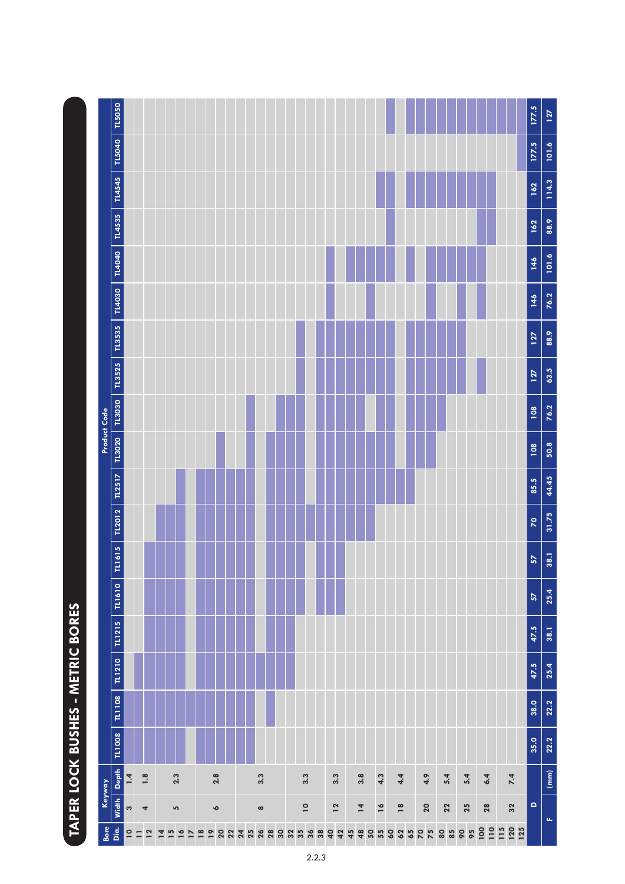|              |                   |                |         |                                   |                          |                                    |                |          |          |          |    |          |                |          |                |     |    |                |                          |                          |          |          |                     |            |            |            | 177.5                    | 127   |
|--------------|-------------------|----------------|---------|-----------------------------------|--------------------------|------------------------------------|----------------|----------|----------|----------|----|----------|----------------|----------|----------------|-----|----|----------------|--------------------------|--------------------------|----------|----------|---------------------|------------|------------|------------|--------------------------|-------|
|              | TL5040 TL5050     |                |         |                                   |                          |                                    |                |          |          |          |    |          |                |          |                |     |    |                |                          |                          |          |          |                     |            |            |            | 177.5                    | 101.6 |
|              | TL4545            |                |         |                                   |                          |                                    |                |          |          |          |    |          |                |          |                |     |    |                |                          |                          |          |          |                     |            |            |            | 162                      | 114.3 |
|              | TL4535            |                |         |                                   |                          |                                    |                |          |          |          |    |          |                |          |                |     |    |                |                          |                          |          |          |                     |            |            |            | 162                      | 88.9  |
|              | <b>TL4040</b>     |                |         |                                   |                          |                                    |                |          |          |          |    |          |                |          |                |     |    |                |                          |                          |          |          |                     |            |            |            | 146                      | 101.6 |
|              | TL4030            |                |         |                                   |                          |                                    |                |          |          |          |    |          |                |          |                |     |    |                |                          |                          |          |          |                     |            |            |            | 146                      | 76.2  |
|              |                   |                |         |                                   |                          |                                    |                |          |          |          |    |          |                |          |                |     |    |                |                          |                          |          |          |                     |            |            |            | 127                      | 88.9  |
|              | $TLSS2S$ $TLSS3S$ |                |         |                                   |                          |                                    |                |          |          |          |    |          |                |          |                |     |    |                |                          |                          |          |          |                     |            |            |            | 127                      | 63.5  |
| Product Code |                   |                |         |                                   |                          |                                    |                |          |          |          |    |          |                |          |                |     |    |                |                          |                          |          |          |                     |            |            |            | 108                      | 76.2  |
|              | TL3020 TL3030     |                |         |                                   |                          |                                    |                |          |          |          |    |          |                |          |                |     |    |                |                          |                          |          |          |                     |            |            |            | 108                      | 50.8  |
|              | TL2517            |                |         |                                   |                          |                                    |                |          |          |          |    |          |                |          |                |     |    |                |                          |                          |          |          |                     |            |            |            | 85.5                     | 44.45 |
|              | TL2012            |                |         |                                   |                          |                                    |                |          |          |          |    |          |                |          |                |     |    |                |                          |                          |          |          |                     |            |            |            | $\overline{\mathsf{R}}$  | 31.75 |
|              | <b>TL1615</b>     |                |         |                                   |                          |                                    |                |          |          |          |    |          |                |          |                |     |    |                |                          |                          |          |          |                     |            |            |            | 57                       | 38.1  |
|              | TL1610            |                |         |                                   |                          |                                    |                |          |          |          |    |          |                |          |                |     |    |                |                          |                          |          |          |                     |            |            |            | $\overline{\mathbf{57}}$ | 25.4  |
|              | TL1215            |                |         |                                   |                          |                                    |                |          |          |          |    |          |                |          |                |     |    |                |                          |                          |          |          |                     |            |            |            | 47.5                     | 38.1  |
|              | TLI210            |                |         |                                   |                          |                                    |                |          |          |          |    |          |                |          |                |     |    |                |                          |                          |          |          |                     |            |            |            | 47.5                     | 25.4  |
|              | TL1108            |                |         |                                   |                          |                                    |                |          |          |          |    |          |                |          |                |     |    |                |                          |                          |          |          |                     |            |            |            | 38.0                     | 22.2  |
|              | TL1008            |                |         |                                   |                          |                                    |                |          |          |          |    |          |                |          |                |     |    |                |                          |                          |          |          |                     |            |            |            | 35.0                     | 22.2  |
| Keyway       | Width Depth       | 1.4            | 1.8     |                                   | 2.3                      |                                    | 2.8            |          |          | 3.3      |    |          | 3.3            |          |                | 3.3 |    | 3.8            | 4.3                      | 4.4                      | 4.9      | 5.4      | 5.4                 | 6.4        | 7.4        |            |                          | (mm)  |
|              |                   | S              | 4       |                                   | 5                        |                                    | $\bullet$      |          |          | $\infty$ |    |          | $\overline{a}$ |          |                | 12  |    | $\overline{4}$ | $\overline{\phantom{a}}$ | $\overline{\phantom{a}}$ | 20       | 22       | 25                  | 28         | 32         |            | $\Omega$                 | u,    |
| Bore         | Dia.              | $\overline{a}$ | 12<br>Ξ | $\overline{15}$<br>$\overline{4}$ | $\overline{\phantom{a}}$ | $\overline{18}$<br>$\overline{17}$ | $\overline{ }$ | 20<br>22 | 24<br>25 | 26       | 28 | 30<br>32 | 35             | 36<br>38 | $\overline{a}$ | 42  | 45 | 48<br>50       | 55<br><b>S</b>           | 62<br>65                 | 20<br>75 | 80<br>85 | 95<br>$\pmb{\circ}$ | 100<br>110 | 120<br>115 | <b>125</b> |                          |       |